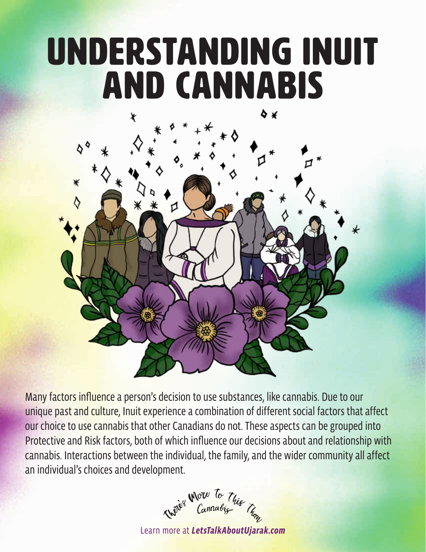# Understanding Inuit and Cannabis



Many factors influence a person's decision to use substances, like cannabis. Due to our unique past and culture, Inuit experience a combination of different social factors that affect our choice to use cannabis that other Canadians do not. These aspects can be grouped into Protective and Risk factors, both of which influence our decisions about and relationship with cannabis. Interactions between the individual, the family, and the wider community all affect an individual's choices and development.



Learn more at *LetsTalkAboutUjarak.com*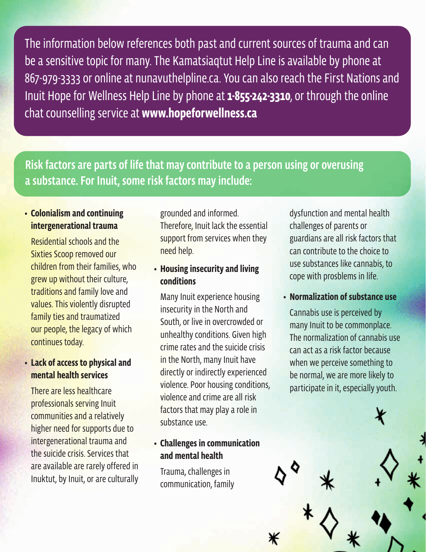The information below references both past and current sources of trauma and can be a sensitive topic for many. The Kamatsiaqtut Help Line is available by phone at 867-979-3333 or online at nunavuthelpline.ca. You can also reach the First Nations and Inuit Hope for Wellness Help Line by phone at **1-855-242-3310**, or through the online chat counselling service at **www.hopeforwellness.ca**

# Risk factors are parts of life that may contribute to a person using or overusing a substance. For Inuit, some risk factors may include:

### **• Colonialism and continuing intergenerational trauma**

Residential schools and the Sixties Scoop removed our children from their families, who grew up without their culture, traditions and family love and values. This violently disrupted family ties and traumatized our people, the legacy of which continues today.

## **• Lack of access to physical and mental health services**

There are less healthcare professionals serving Inuit communities and a relatively higher need for supports due to intergenerational trauma and the suicide crisis. Services that are available are rarely offered in Inuktut, by Inuit, or are culturally

grounded and informed. Therefore, Inuit lack the essential support from services when they need help.

#### **• Housing insecurity and living conditions**

Many Inuit experience housing insecurity in the North and South, or live in overcrowded or unhealthy conditions. Given high crime rates and the suicide crisis in the North, many Inuit have directly or indirectly experienced violence. Poor housing conditions, violence and crime are all risk factors that may play a role in substance use.

# **• Challenges in communication and mental health**

Trauma, challenges in communication, family dysfunction and mental health challenges of parents or guardians are all risk factors that can contribute to the choice to use substances like cannabis, to cope with prosblems in life.

#### **• Normalization of substance use**

Cannabis use is perceived by many Inuit to be commonplace. The normalization of cannabis use can act as a risk factor because when we perceive something to be normal, we are more likely to participate in it, especially youth.